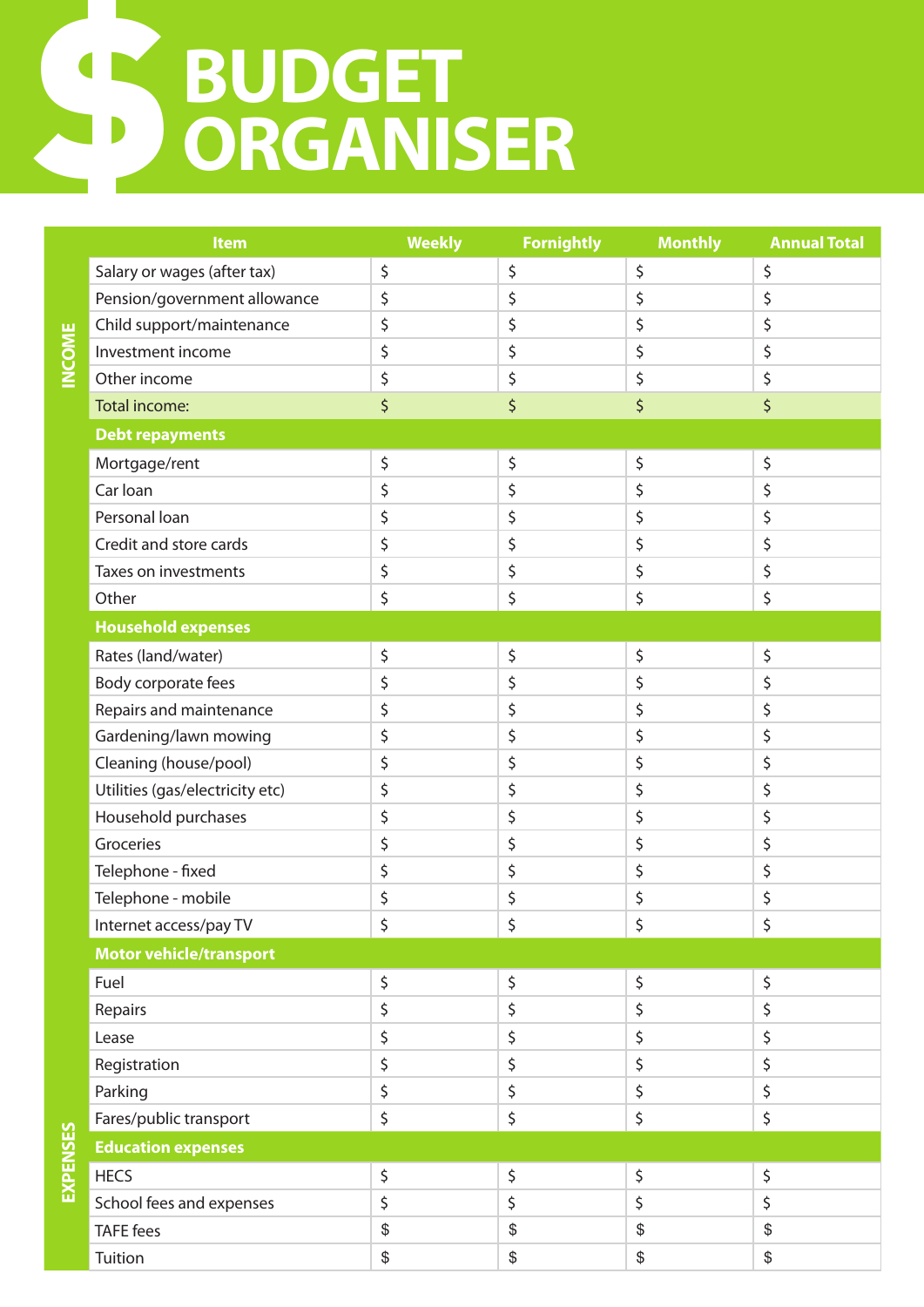## **BUDGET ORGANISER** \$

|                   | <b>Item</b>                     | <b>Weekly</b> | <b>Fornightly</b> | <b>Monthly</b> | <b>Annual Total</b> |
|-------------------|---------------------------------|---------------|-------------------|----------------|---------------------|
|                   | Salary or wages (after tax)     | \$            | \$                | \$             | \$                  |
|                   | Pension/government allowance    | \$            | \$                | \$             | \$                  |
|                   | Child support/maintenance       | \$            | \$                | \$             | \$                  |
| <b>MINIC</b><br>≦ | Investment income               | \$            | \$                | \$             | \$                  |
|                   | Other income                    | \$            | \$                | \$             | \$                  |
|                   | Total income:                   | \$            | \$                | \$             | \$                  |
|                   | <b>Debt repayments</b>          |               |                   |                |                     |
|                   | Mortgage/rent                   | \$            | \$                | \$             | \$                  |
|                   | Car Ioan                        | \$            | \$                | \$             | \$                  |
|                   | Personal loan                   | \$            | \$                | \$             | \$                  |
|                   | Credit and store cards          | \$            | \$                | \$             | \$                  |
|                   | Taxes on investments            | \$            | \$                | \$             | \$                  |
|                   | Other                           | \$            | \$                | \$             | \$                  |
|                   | <b>Household expenses</b>       |               |                   |                |                     |
|                   | Rates (land/water)              | \$            | \$                | \$             | \$                  |
|                   | Body corporate fees             | \$            | \$                | \$             | \$                  |
|                   | Repairs and maintenance         | \$            | \$                | \$             | \$                  |
|                   | Gardening/lawn mowing           | \$            | \$                | \$             | \$                  |
|                   | Cleaning (house/pool)           | \$            | \$                | \$             | \$                  |
|                   | Utilities (gas/electricity etc) | \$            | \$                | \$             | \$                  |
|                   | Household purchases             | \$            | \$                | \$             | \$                  |
|                   | Groceries                       | \$            | \$                | \$             | \$                  |
|                   | Telephone - fixed               | \$            | \$                | \$             | \$                  |
|                   | Telephone - mobile              | \$            | \$                | \$             | \$                  |
|                   | Internet access/pay TV          | ς             | ς                 | ς              |                     |
|                   | <b>Motor vehicle/transport</b>  |               |                   |                |                     |
|                   | Fuel                            | \$            | \$                | \$             | \$                  |
|                   | Repairs                         | \$            | \$                | \$             | \$                  |
|                   | Lease                           | \$            | \$                | \$             | \$                  |
|                   | Registration                    | \$            | \$                | \$             | \$                  |
|                   | Parking                         | \$            | \$                | \$             | \$                  |
|                   | Fares/public transport          | \$            | \$                | \$             | \$                  |
|                   | <b>Education expenses</b>       |               |                   |                |                     |
| EXPENSES          | <b>HECS</b>                     | \$            | \$                | \$             | \$                  |
|                   | School fees and expenses        | \$            | \$                | \$             | \$                  |
|                   | <b>TAFE</b> fees                | \$            | $\$$              | $\frac{1}{2}$  | \$                  |

Tuition \$ \$ \$ \$

**INCOME**

**EXPENSES**